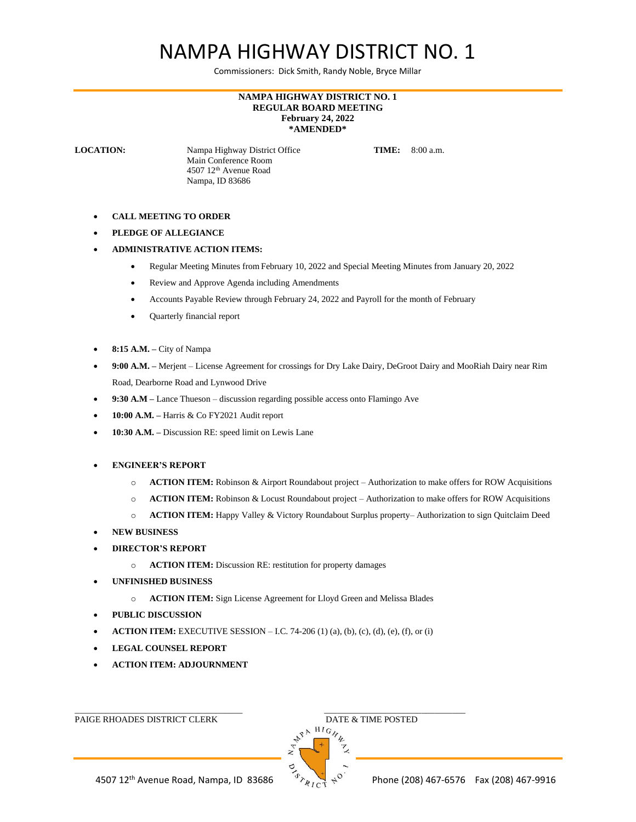## NAMPA HIGHWAY DISTRICT NO. 1

Commissioners: Dick Smith, Randy Noble, Bryce Millar

## **NAMPA HIGHWAY DISTRICT NO. 1 REGULAR BOARD MEETING February 24, 2022 \*AMENDED\***

**LOCATION:** Nampa Highway District Office **TIME:** 8:00 a.m. Main Conference Room 4507 12th Avenue Road Nampa, ID 83686

- **CALL MEETING TO ORDER**
- **PLEDGE OF ALLEGIANCE**
- **ADMINISTRATIVE ACTION ITEMS:**
	- Regular Meeting Minutes from February 10, 2022 and Special Meeting Minutes from January 20, 2022
	- Review and Approve Agenda including Amendments
	- Accounts Payable Review through February 24, 2022 and Payroll for the month of February
	- Quarterly financial report
- **8:15 A.M. –** City of Nampa
- **9:00 A.M. –** Merjent License Agreement for crossings for Dry Lake Dairy, DeGroot Dairy and MooRiah Dairy near Rim Road, Dearborne Road and Lynwood Drive
- **9:30 A.M –** Lance Thueson discussion regarding possible access onto Flamingo Ave
- **10:00 A.M. –** Harris & Co FY2021 Audit report
- **10:30 A.M. –** Discussion RE: speed limit on Lewis Lane
- **ENGINEER'S REPORT**
	- o **ACTION ITEM:** Robinson & Airport Roundabout project Authorization to make offers for ROW Acquisitions
	- o **ACTION ITEM:** Robinson & Locust Roundabout project Authorization to make offers for ROW Acquisitions
	- o **ACTION ITEM:** Happy Valley & Victory Roundabout Surplus property– Authorization to sign Quitclaim Deed
- **NEW BUSINESS**
- **DIRECTOR'S REPORT**
	- o **ACTION ITEM:** Discussion RE: restitution for property damages
- **UNFINISHED BUSINESS**
	- o **ACTION ITEM:** Sign License Agreement for Lloyd Green and Melissa Blades
- **PUBLIC DISCUSSION**
- **ACTION ITEM:** EXECUTIVE SESSION I.C. 74-206 (1) (a), (b), (c), (d), (e), (f), or (i)

\_\_\_\_\_\_\_\_\_\_\_\_\_\_\_\_\_\_\_\_\_\_\_\_\_\_\_\_\_\_\_\_\_\_\_\_\_\_ \_\_\_\_\_\_\_\_\_\_\_\_\_\_\_\_\_\_\_\_\_\_\_\_\_\_\_\_\_\_\_\_

- **LEGAL COUNSEL REPORT**
- **ACTION ITEM: ADJOURNMENT**

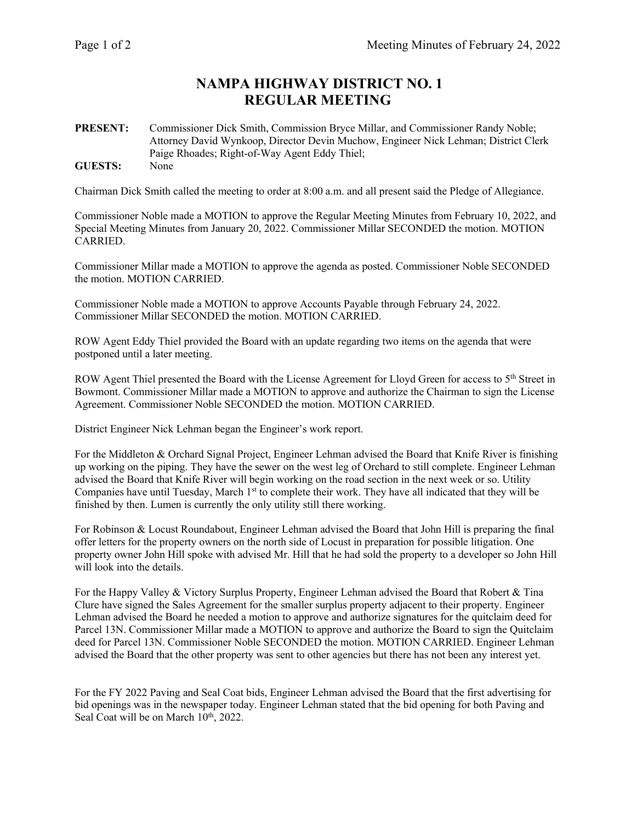## **NAMPA HIGHWAY DISTRICT NO. 1 REGULAR MEETING**

**PRESENT:** Commissioner Dick Smith, Commission Bryce Millar, and Commissioner Randy Noble; Attorney David Wynkoop, Director Devin Muchow, Engineer Nick Lehman; District Clerk Paige Rhoades; Right-of-Way Agent Eddy Thiel; **GUESTS:** None

Chairman Dick Smith called the meeting to order at 8:00 a.m. and all present said the Pledge of Allegiance.

Commissioner Noble made a MOTION to approve the Regular Meeting Minutes from February 10, 2022, and Special Meeting Minutes from January 20, 2022. Commissioner Millar SECONDED the motion. MOTION CARRIED.

Commissioner Millar made a MOTION to approve the agenda as posted. Commissioner Noble SECONDED the motion. MOTION CARRIED.

Commissioner Noble made a MOTION to approve Accounts Payable through February 24, 2022. Commissioner Millar SECONDED the motion. MOTION CARRIED.

ROW Agent Eddy Thiel provided the Board with an update regarding two items on the agenda that were postponed until a later meeting.

ROW Agent Thiel presented the Board with the License Agreement for Lloyd Green for access to 5<sup>th</sup> Street in Bowmont. Commissioner Millar made a MOTION to approve and authorize the Chairman to sign the License Agreement. Commissioner Noble SECONDED the motion. MOTION CARRIED.

District Engineer Nick Lehman began the Engineer's work report.

For the Middleton & Orchard Signal Project, Engineer Lehman advised the Board that Knife River is finishing up working on the piping. They have the sewer on the west leg of Orchard to still complete. Engineer Lehman advised the Board that Knife River will begin working on the road section in the next week or so. Utility Companies have until Tuesday, March 1<sup>st</sup> to complete their work. They have all indicated that they will be finished by then. Lumen is currently the only utility still there working.

For Robinson & Locust Roundabout, Engineer Lehman advised the Board that John Hill is preparing the final offer letters for the property owners on the north side of Locust in preparation for possible litigation. One property owner John Hill spoke with advised Mr. Hill that he had sold the property to a developer so John Hill will look into the details.

For the Happy Valley & Victory Surplus Property, Engineer Lehman advised the Board that Robert & Tina Clure have signed the Sales Agreement for the smaller surplus property adjacent to their property. Engineer Lehman advised the Board he needed a motion to approve and authorize signatures for the quitclaim deed for Parcel 13N. Commissioner Millar made a MOTION to approve and authorize the Board to sign the Quitclaim deed for Parcel 13N. Commissioner Noble SECONDED the motion. MOTION CARRIED. Engineer Lehman advised the Board that the other property was sent to other agencies but there has not been any interest yet.

For the FY 2022 Paving and Seal Coat bids, Engineer Lehman advised the Board that the first advertising for bid openings was in the newspaper today. Engineer Lehman stated that the bid opening for both Paving and Seal Coat will be on March 10<sup>th</sup>, 2022.